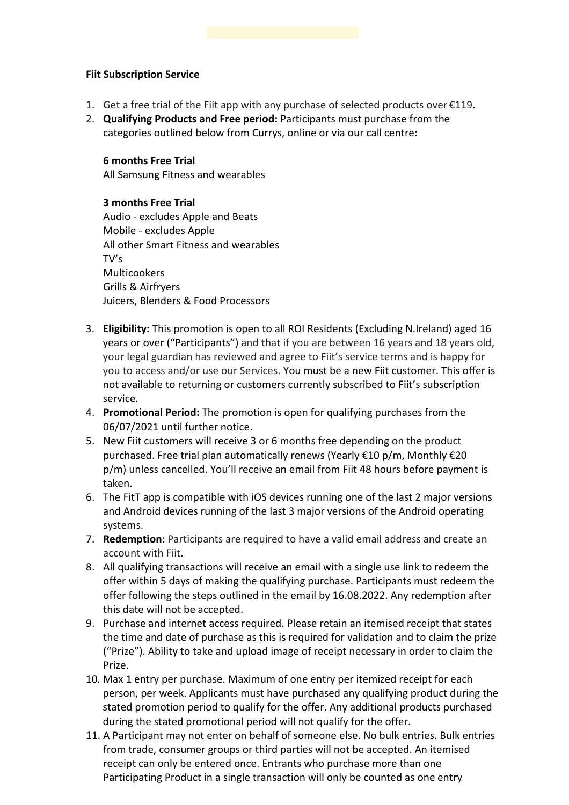#### **Fiit Subscription Service**

- 1. Get a free trial of the Fiit app with any purchase of selected products over €119.
- 2. **Qualifying Products and Free period:** Participants must purchase from the categories outlined below from Currys, online or via our call centre:

#### **6 months Free Trial**

All Samsung Fitness and wearables

# **3 months Free Trial**

Audio - excludes Apple and Beats Mobile - excludes Apple All other Smart Fitness and wearables TV's Multicookers Grills & Airfryers Juicers, Blenders & Food Processors

- 3. **Eligibility:** This promotion is open to all ROI Residents (Excluding N.Ireland) aged 16 years or over ("Participants") and that if you are between 16 years and 18 years old, your legal guardian has reviewed and agree to Fiit's service terms and is happy for you to access and/or use our Services. You must be a new Fiit customer. This offer is not available to returning or customers currently subscribed to Fiit's subscription service.
- 4. **Promotional Period:** The promotion is open for qualifying purchases from the 06/07/2021 until further notice.
- 5. New Fiit customers will receive 3 or 6 months free depending on the product purchased. Free trial plan automatically renews (Yearly €10 p/m, Monthly €20 p/m) unless cancelled. You'll receive an email from Fiit 48 hours before payment is taken.
- 6. The FitT app is compatible with iOS devices running one of the last 2 major versions and Android devices running of the last 3 major versions of the Android operating systems.
- 7. **Redemption**: Participants are required to have a valid email address and create an account with Fiit.
- 8. All qualifying transactions will receive an email with a single use link to redeem the offer within 5 days of making the qualifying purchase. Participants must redeem the offer following the steps outlined in the email by 16.08.2022. Any redemption after this date will not be accepted.
- 9. Purchase and internet access required. Please retain an itemised receipt that states the time and date of purchase as this is required for validation and to claim the prize ("Prize"). Ability to take and upload image of receipt necessary in order to claim the Prize.
- 10. Max 1 entry per purchase. Maximum of one entry per itemized receipt for each person, per week. Applicants must have purchased any qualifying product during the stated promotion period to qualify for the offer. Any additional products purchased during the stated promotional period will not qualify for the offer.
- 11. A Participant may not enter on behalf of someone else. No bulk entries. Bulk entries from trade, consumer groups or third parties will not be accepted. An itemised receipt can only be entered once. Entrants who purchase more than one Participating Product in a single transaction will only be counted as one entry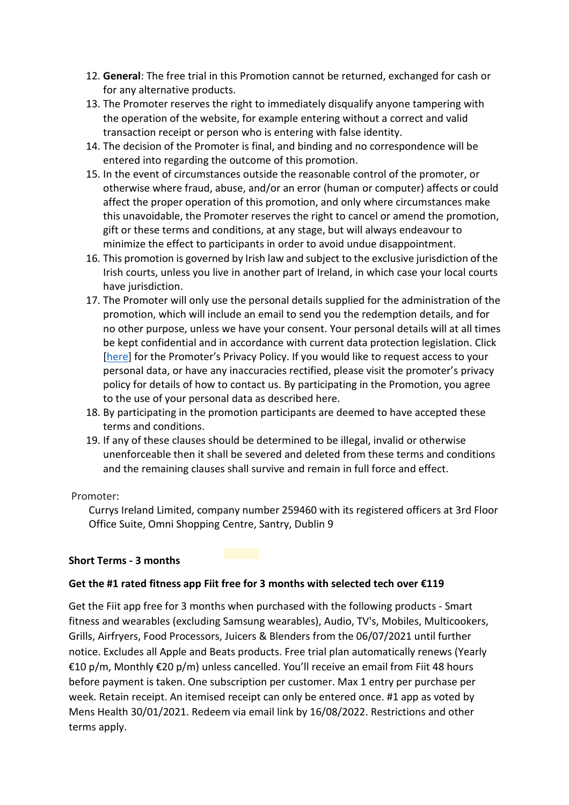- 12. **General**: The free trial in this Promotion cannot be returned, exchanged for cash or for any alternative products.
- 13. The Promoter reserves the right to immediately disqualify anyone tampering with the operation of the website, for example entering without a correct and valid transaction receipt or person who is entering with false identity.
- 14. The decision of the Promoter is final, and binding and no correspondence will be entered into regarding the outcome of this promotion.
- 15. In the event of circumstances outside the reasonable control of the promoter, or otherwise where fraud, abuse, and/or an error (human or computer) affects or could affect the proper operation of this promotion, and only where circumstances make this unavoidable, the Promoter reserves the right to cancel or amend the promotion, gift or these terms and conditions, at any stage, but will always endeavour to minimize the effect to participants in order to avoid undue disappointment.
- 16. This promotion is governed by Irish law and subject to the exclusive jurisdiction of the Irish courts, unless you live in another part of Ireland, in which case your local courts have jurisdiction.
- 17. The Promoter will only use the personal details supplied for the administration of the promotion, which will include an email to send you the redemption details, and for no other purpose, unless we have your consent. Your personal details will at all times be kept confidential and in accordance with current data protection legislation. Click [here] for the Promoter's Privacy Policy. If you would like to request access to your personal data, or have any inaccuracies rectified, please visit the promoter's privacy policy for details of how to contact us. By participating in the Promotion, you agree to the use of your personal data as described here.
- 18. By participating in the promotion participants are deemed to have accepted these terms and conditions.
- 19. If any of these clauses should be determined to be illegal, invalid or otherwise unenforceable then it shall be severed and deleted from these terms and conditions and the remaining clauses shall survive and remain in full force and effect.

## Promoter:

Currys Ireland Limited, company number 259460 with its registered officers at 3rd Floor Office Suite, Omni Shopping Centre, Santry, Dublin 9

## **Short Terms - 3 months**

## **Get the #1 rated fitness app Fiit free for 3 months with selected tech over €119**

Get the Fiit app free for 3 months when purchased with the following products - Smart fitness and wearables (excluding Samsung wearables), Audio, TV's, Mobiles, Multicookers, Grills, Airfryers, Food Processors, Juicers & Blenders from the 06/07/2021 until further notice. Excludes all Apple and Beats products. Free trial plan automatically renews (Yearly €10 p/m, Monthly €20 p/m) unless cancelled. You'll receive an email from Fiit 48 hours before payment is taken. One subscription per customer. Max 1 entry per purchase per week. Retain receipt. An itemised receipt can only be entered once. #1 app as voted by Mens Health 30/01/2021. Redeem via email link by 16/08/2022. Restrictions and other terms apply.